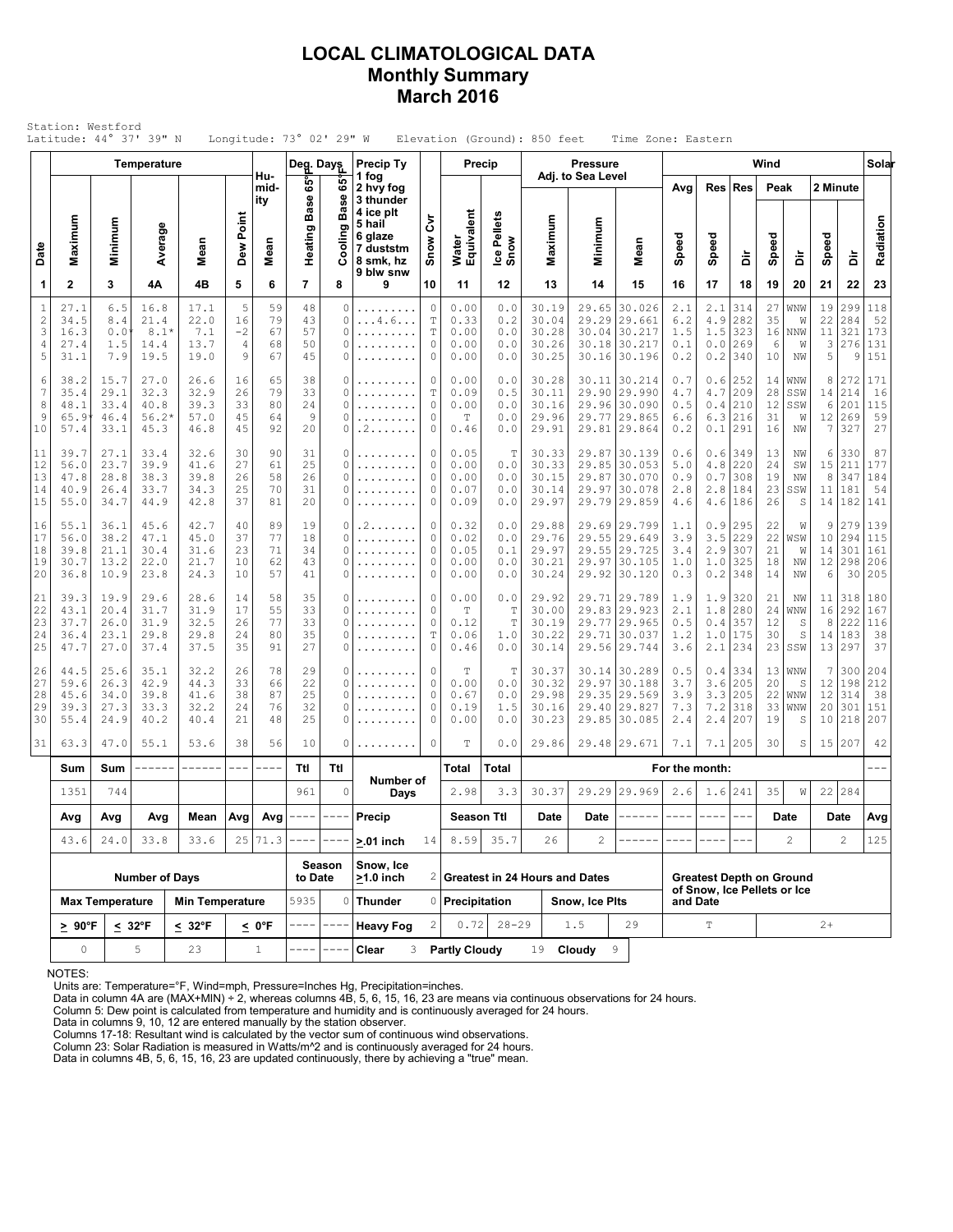## **LOCAL CLIMATOLOGICAL DATA Monthly Summary March 2016**

|                                                 |                                      | Station: Westford                    | Latitude: 44° 37' 39" N                 |                                      |                            |                                           | Longitude: $73^{\circ}$ 02' 29" W |                                 |                                                                                             |                                                     |                                      |                                   | Elevation (Ground): 850 feet              |                              | Time Zone: Eastern                                               |                                 |                                         |                                 |                            |                              |                                |                                         |                                 |
|-------------------------------------------------|--------------------------------------|--------------------------------------|-----------------------------------------|--------------------------------------|----------------------------|-------------------------------------------|-----------------------------------|---------------------------------|---------------------------------------------------------------------------------------------|-----------------------------------------------------|--------------------------------------|-----------------------------------|-------------------------------------------|------------------------------|------------------------------------------------------------------|---------------------------------|-----------------------------------------|---------------------------------|----------------------------|------------------------------|--------------------------------|-----------------------------------------|---------------------------------|
|                                                 |                                      |                                      | <b>Temperature</b>                      |                                      |                            |                                           | Deg. Days                         |                                 | <b>Precip Ty</b>                                                                            |                                                     |                                      | <b>Precip</b>                     |                                           | <b>Pressure</b>              |                                                                  |                                 |                                         |                                 | Wind                       |                              |                                |                                         | Solai                           |
| Date                                            | Maximum                              | Minimum                              | Average                                 | Mean                                 | Dew Point                  | Hu-<br>mid-<br>itv<br>Mean                | 65°<br>န္တ<br>ã<br>Heating        | 65°<br>Ф<br>Bas<br>B<br>Cooling | 1 fog<br>2 hvy fog<br>3 thunder<br>4 ice plt<br>5 hail<br>6 glaze<br>7 duststm<br>8 smk, hz | ξ<br>Snow                                           | Water<br>Equivalent                  | Ice Pellets<br>Snow               | Maximum                                   | Adj. to Sea Level<br>Minimum | Mean                                                             | Avg<br>Speed                    | Res<br>Speed                            | <b>Res</b><br>ă                 | Peak<br>Speed              | ă                            | 2 Minute<br>Speed              | ă                                       | Radiation                       |
| 1                                               | $\mathbf{2}$                         | 3                                    | 4Α                                      | 4B                                   | 5                          | 6                                         | $\overline{7}$                    | 8                               | 9 blw snw<br>9                                                                              | 10                                                  | 11                                   | 12                                | 13                                        | 14                           | 15                                                               | 16                              | 17                                      | 18                              | 19                         | 20                           | 21                             | 22                                      | 23                              |
| $1\,$<br>$\overline{c}$<br>3<br>$\sqrt{4}$<br>5 | 27.1<br>34.5<br>16.3<br>27.4<br>31.1 | 6.5<br>8.4<br>0.0<br>1.5<br>7.9      | 16.8<br>21.4<br>$8.1*$<br>14.4<br>19.5  | 17.1<br>22.0<br>7.1<br>13.7<br>19.0  | 5<br>16<br>$-2$<br>4<br>9  | 59<br>79<br>67<br>68<br>67                | 48<br>43<br>57<br>50<br>45        | 0<br>0<br>0<br>0<br>O           | 1.1.1.1.1.1<br>$\dots 4.6$<br>.<br>.                                                        | $\mathbb O$<br>T<br>$\mathbb T$<br>0<br>0           | 0.00<br>0.33<br>0.00<br>0.00<br>0.00 | 0.0<br>0.2<br>0.0<br>0.0<br>0.0   | 30.19<br>30.04<br>30.28<br>30.26<br>30.25 | 29.65<br>30.04<br>30.18      | 30.026<br>29.29 29.661<br>30.217<br>30.217<br>30.16 30.196       | 2.1<br>6.2<br>1.5<br>0.1<br>0.2 | 2.1<br>4.9<br>1.5<br>0.0<br>0.2         | 314<br>282<br>323<br>269<br>340 | 27<br>35<br>16<br>6<br>10  | WNW<br>W<br>NNW<br>W<br>NW   | 19<br>22<br>11<br>3<br>5       | 299<br>284<br>321<br>276<br>9           | 118<br>52<br>173<br>131<br>151  |
| 6<br>7<br>8<br>9<br>10                          | 38.2<br>35.4<br>48.1<br>65.9<br>57.4 | 15.7<br>29.1<br>33.4<br>46.4<br>33.1 | 27.0<br>32.3<br>40.8<br>$56.2*$<br>45.3 | 26.6<br>32.9<br>39.3<br>57.0<br>46.8 | 16<br>26<br>33<br>45<br>45 | 65<br>79<br>80<br>64<br>92                | 38<br>33<br>24<br>9<br>20         | 0<br>0<br>0<br>0<br>0           | .<br>.<br>.<br>. 2                                                                          | 0<br>$\mathbb T$<br>$\circ$<br>0<br>0               | 0.00<br>0.09<br>0.00<br>Т<br>0.46    | 0.0<br>0.5<br>0.0<br>$0.0$<br>0.0 | 30.28<br>30.11<br>30.16<br>29.96<br>29.91 | 29.90<br>29.77               | 30.11 30.214<br>29.990<br>29.96 30.090<br>29.865<br>29.81 29.864 | 0.7<br>4.7<br>0.5<br>6.6<br>0.2 | 0.6<br>4.7<br>0.4<br>6.3<br>0.1         | 252<br>209<br>210<br>216<br>291 | 14<br>28<br>12<br>31<br>16 | WNW<br>SSW<br>SSW<br>W<br>ΝW | 8<br>14<br>6<br>12<br>7        | 272<br>214<br>201<br>269<br>327         | 171<br>16<br>115<br>59<br>27    |
| 11<br>12<br>13<br>14<br>15                      | 39.7<br>56.0<br>47.8<br>40.9<br>55.0 | 27.1<br>23.7<br>28.8<br>26.4<br>34.7 | 33.4<br>39.9<br>38.3<br>33.7<br>44.9    | 32.6<br>41.6<br>39.8<br>34.3<br>42.8 | 30<br>27<br>26<br>25<br>37 | 90<br>61<br>58<br>70<br>81                | 31<br>25<br>26<br>31<br>20        | 0<br>0<br>0<br>0<br>0           | .<br>.<br>.                                                                                 | 0<br>0<br>0<br>0<br>0                               | 0.05<br>0.00<br>0.00<br>0.07<br>0.09 | Т<br>0.0<br>0.0<br>0.0<br>0.0     | 30.33<br>30.33<br>30.15<br>30.14<br>29.97 | 29.87<br>29.87<br>29.97      | 30.139<br>29.85 30.053<br>30.070<br>30.078<br>29.79 29.859       | 0.6<br>5.0<br>0.9<br>2.8<br>4.6 | 0.6<br>4.8<br>0.7<br>2.8<br>4.6         | 349<br>220<br>308<br>184<br>186 | 13<br>24<br>19<br>23<br>26 | ΝW<br>SW<br>NW<br>SSW<br>S   | 6<br>15<br>$\,8\,$<br>11<br>14 | 330<br>211<br>347<br>181<br>182         | 87<br>177<br>184<br>54<br>141   |
| 16<br>17<br>18<br>19<br>20                      | 55.1<br>56.0<br>39.8<br>30.7<br>36.8 | 36.1<br>38.2<br>21.1<br>13.2<br>10.9 | 45.6<br>47.1<br>30.4<br>22.0<br>23.8    | 42.7<br>45.0<br>31.6<br>21.7<br>24.3 | 40<br>37<br>23<br>10<br>10 | 89<br>77<br>71<br>62<br>57                | 19<br>18<br>34<br>43<br>41        | 0<br>0<br>0<br>0<br>0           | . 2<br>.<br>.                                                                               | 0<br>$\mathbb O$<br>$\mathbb O$<br>0<br>$\mathbb O$ | 0.32<br>0.02<br>0.05<br>0.00<br>0.00 | 0.0<br>0.0<br>0.1<br>0.0<br>0.0   | 29.88<br>29.76<br>29.97<br>30.21<br>30.24 | 29.55<br>29.97<br>29.92      | 29.69 29.799<br>29.649<br>29.55 29.725<br>30.105<br> 30.120      | 1.1<br>3.9<br>3.4<br>1.0<br>0.3 | 0.9<br>3.5<br>2.9<br>1.0<br>0.2         | 295<br>229<br>307<br>325<br>348 | 22<br>22<br>21<br>18<br>14 | W<br>WSW<br>W<br>NW<br>NW    | 9<br>10<br>14<br>12<br>6       | 279<br>294<br>301<br>298<br>30          | 139<br>115<br>161<br>206<br>205 |
| 21<br>22<br>23<br>24<br>25                      | 39.3<br>43.1<br>37.7<br>36.4<br>47.7 | 19.9<br>20.4<br>26.0<br>23.1<br>27.0 | 29.6<br>31.7<br>31.9<br>29.8<br>37.4    | 28.6<br>31.9<br>32.5<br>29.8<br>37.5 | 14<br>17<br>26<br>24<br>35 | 58<br>55<br>77<br>80<br>91                | 35<br>33<br>33<br>35<br>27        | 0<br>0<br>0<br>0<br>0           | .<br>.                                                                                      | $\Omega$<br>$\mathbb O$<br>0<br>T<br>$\circ$        | 0.00<br>T<br>0.12<br>0.06<br>0.46    | 0.0<br>T<br>T<br>1.0<br>0.0       | 29.92<br>30.00<br>30.19<br>30.22<br>30.14 | 29.77<br>29.71               | 29.71 29.789<br>29.83 29.923<br>29.965<br>30.037<br>29.56 29.744 | 1.9<br>2.1<br>0.5<br>1.2<br>3.6 | 1.9<br>1.8<br>0.4<br>1.0<br>2.1         | 320<br>280<br>357<br>175<br>234 | 21<br>24<br>12<br>30<br>23 | ΝW<br>WNW<br>S<br>S<br>SSW   | 11<br>16<br>8                  | 318<br>292<br>222<br>14   183<br>13 297 | 180<br>167<br>116<br>38<br>37   |
| 26<br>27<br>28<br>29<br>30                      | 44.5<br>59.6<br>45.6<br>39.3<br>55.4 | 25.6<br>26.3<br>34.0<br>27.3<br>24.9 | 35.1<br>42.9<br>39.8<br>33.3<br>40.2    | 32.2<br>44.3<br>41.6<br>32.2<br>40.4 | 26<br>33<br>38<br>24<br>21 | 78<br>66<br>87<br>76<br>48                | 29<br>22<br>25<br>32<br>25        | 0<br>0<br>0<br>0<br>0           |                                                                                             | 0<br>0<br>0<br>0<br>0                               | Т<br>0.00<br>0.67<br>0.19<br>0.00    | Т<br>0.0<br>0.0<br>1.5<br>0.0     | 30.37<br>30.32<br>29.98<br>30.16<br>30.23 | 29.97<br>29.85               | 30.14 30.289<br>30.188<br>29.35 29.569<br>29.40 29.827<br>30.085 | 0.5<br>3.7<br>3.9<br>7.3<br>2.4 | 0.4<br>3.6<br>3.3<br>7.2<br>2.4         | 334<br>205<br>205<br>318<br>207 | 13<br>20<br>22<br>33<br>19 | WNW<br>S<br>WNW<br>WNW<br>S  | 7<br>12<br>12<br>20<br>10      | 300<br>198<br>314<br>301<br>218         | 204<br>212<br>38<br>151<br>207  |
| 31                                              | 63.3                                 | 47.0                                 | 55.1                                    | 53.6                                 | 38                         | 56                                        | 10                                | 0                               |                                                                                             | 0                                                   | T                                    | 0.0                               | 29.86                                     |                              | 29.48 29.671                                                     | 7.1                             | 7.1                                     | 205                             | 30                         | S                            |                                | 15 207                                  | 42                              |
|                                                 | Sum                                  | Sum                                  |                                         | ------                               | $\frac{1}{2}$              | $   -$                                    | Ttl                               | Ttl                             | Number of                                                                                   |                                                     | Total                                | Total                             |                                           |                              |                                                                  | For the month:                  |                                         |                                 |                            |                              |                                |                                         | ---                             |
|                                                 | 1351                                 | 744                                  |                                         |                                      |                            |                                           | 961                               | $\circ$<br>----                 | Days                                                                                        |                                                     | 2.98<br><b>Season Ttl</b>            | 3.3                               | 30.37<br>Date                             | Date                         | 29.29 29.969<br>------                                           | $2.6$<br>----                   | 1.6<br>$\frac{1}{2}$                    | 241<br>$\qquad \qquad -$        | 35                         | W<br>Date                    |                                | 22 284<br>Date                          | Avg                             |
|                                                 | Avg<br>Avg<br>24.0<br>43.6           |                                      | Avg<br>33.8                             | Mean<br>33.6                         |                            | Avg $\left $ Avg $\left $ ----<br>25 71.3 |                                   |                                 | Precip<br>$> 01$ inch                                                                       | 14                                                  | 8.59                                 | 35.7                              | 26                                        | $\mathbf{2}^{\prime}$        |                                                                  |                                 |                                         |                                 |                            | $\mathbf{2}$                 |                                | $\overline{c}$                          | 125                             |
|                                                 |                                      |                                      | <b>Number of Days</b>                   |                                      |                            |                                           | to Date                           | Season                          | Snow, Ice<br>$>1.0$ inch                                                                    |                                                     |                                      |                                   | 2 Greatest in 24 Hours and Dates          |                              |                                                                  |                                 | <b>Greatest Depth on Ground</b>         |                                 |                            |                              |                                |                                         |                                 |
|                                                 |                                      | <b>Max Temperature</b>               |                                         | <b>Min Temperature</b>               |                            |                                           | 5935                              | 0                               | <b>Thunder</b>                                                                              |                                                     | 0 Precipitation                      |                                   |                                           | Snow, Ice Plts               |                                                                  |                                 | of Snow. Ice Pellets or Ice<br>and Date |                                 |                            |                              |                                |                                         |                                 |
|                                                 | $\geq 90^{\circ}$ F                  |                                      | $\leq 32^{\circ}F$                      | $< 32^{\circ}F$                      |                            | $\leq 0$ °F                               | ----                              |                                 | <b>Heavy Fog</b>                                                                            | $\overline{c}$                                      | 0.72                                 | $28 - 29$                         |                                           | 1.5                          | 29                                                               |                                 | $\mathbb T$                             |                                 |                            |                              | $2+$                           |                                         |                                 |
|                                                 | $\mathsf{O}$                         |                                      | 5                                       | 23<br>$\mathbf{1}$                   |                            |                                           |                                   |                                 | Clear<br>3                                                                                  |                                                     | <b>Partly Cloudy</b>                 |                                   | 19                                        | 9<br>Cloudy                  |                                                                  |                                 |                                         |                                 |                            |                              |                                |                                         |                                 |

NOTES:

Units are: Temperature=°F, Wind=mph, Pressure=Inches Hg, Precipitation=inches. Data in column 4A are (MAX+MIN) ÷ 2, whereas columns 4B, 5, 6, 15, 16, 23 are means via continuous observations for 24 hours.

Column 5: Dew point is calculated from temperature and humidity and is continuously averaged for 24 hours.

Data in columns 9, 10, 12 are entered manually by the station observer. Columns 17-18: Resultant wind is calculated by the vector sum of continuous wind observations.

Column 23: Solar Radiation is measured in Watts/m^2 and is continuously averaged for 24 hours.

Data in columns 4B, 5, 6, 15, 16, 23 are updated continuously, there by achieving a "true" mean.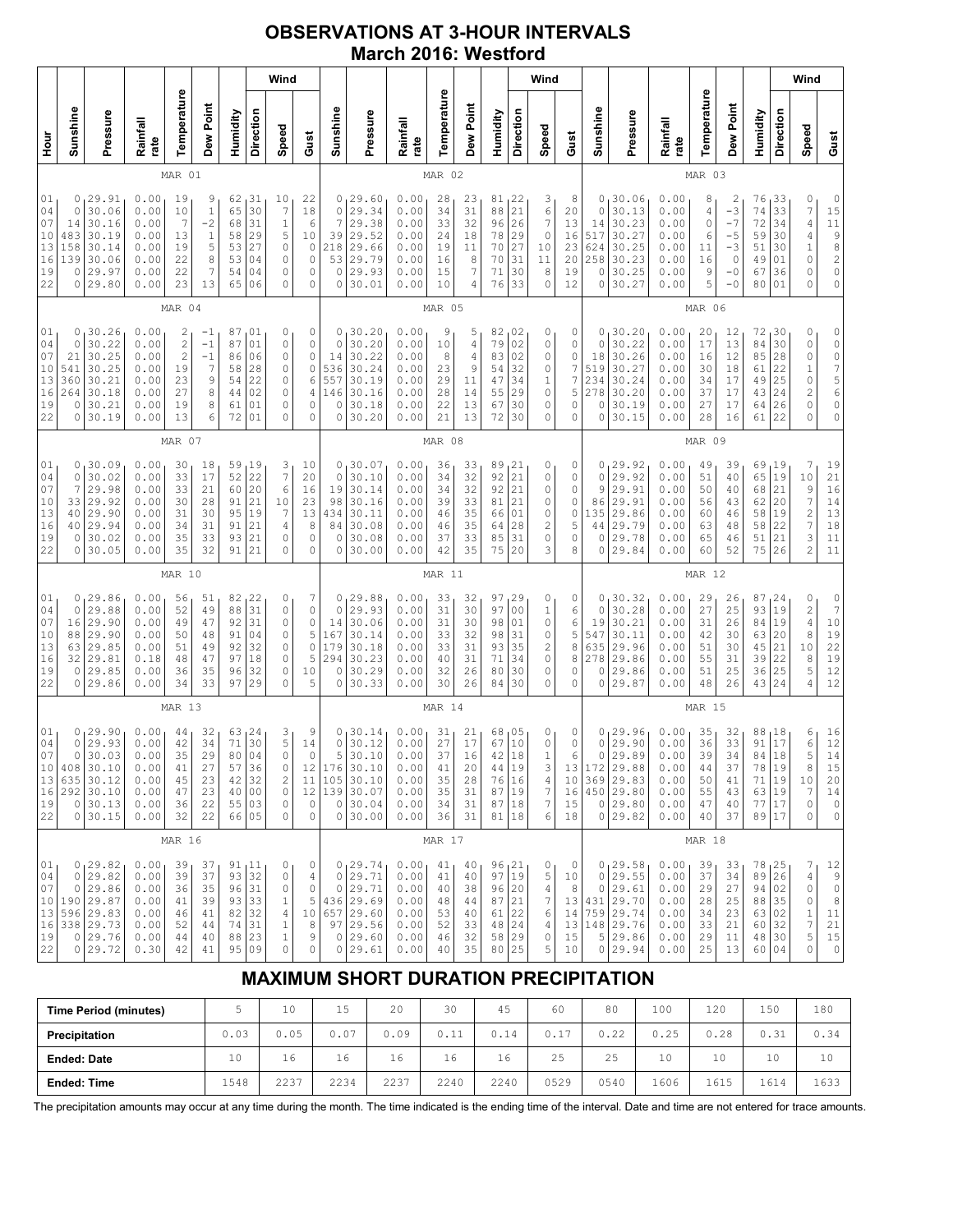## **OBSERVATIONS AT 3-HOUR INTERVALS March 2016: Westford**

|                                                                        |                                                    |                                                                                              |                                                              |                                                                 |                                                          |                                                                    |                                               | Wind                                                        |                                                                          |                                                                          |                                                                                             |                                                              |                                              |                                                        |                                                           |                                                          | Wind                                                                                       |                                                |                                             |                                                                                                |                                                              |                                              |                                                                                    |                                                                 |                                              | Wind                                                                                               |                                                                                                                                 |
|------------------------------------------------------------------------|----------------------------------------------------|----------------------------------------------------------------------------------------------|--------------------------------------------------------------|-----------------------------------------------------------------|----------------------------------------------------------|--------------------------------------------------------------------|-----------------------------------------------|-------------------------------------------------------------|--------------------------------------------------------------------------|--------------------------------------------------------------------------|---------------------------------------------------------------------------------------------|--------------------------------------------------------------|----------------------------------------------|--------------------------------------------------------|-----------------------------------------------------------|----------------------------------------------------------|--------------------------------------------------------------------------------------------|------------------------------------------------|---------------------------------------------|------------------------------------------------------------------------------------------------|--------------------------------------------------------------|----------------------------------------------|------------------------------------------------------------------------------------|-----------------------------------------------------------------|----------------------------------------------|----------------------------------------------------------------------------------------------------|---------------------------------------------------------------------------------------------------------------------------------|
| Hour<br>H                                                              | Sunshine                                           | Pressure                                                                                     | Rainfall<br>rate                                             | Temperature                                                     | Dew Point                                                | Humidity                                                           | Direction                                     | Speed                                                       | Gust                                                                     | Sunshine                                                                 | Pressure                                                                                    | Rainfall<br>rate                                             | Temperature                                  | Dew Point                                              | Humidity                                                  | Direction                                                | Speed                                                                                      | Gust                                           | Sunshine                                    | Pressure                                                                                       | Rainfall<br>rate                                             | Temperature                                  | Dew Point                                                                          | Humidity                                                        | Direction                                    | Speed                                                                                              | Gust                                                                                                                            |
| MAR 01                                                                 |                                                    |                                                                                              |                                                              |                                                                 |                                                          |                                                                    |                                               |                                                             |                                                                          | MAR 02                                                                   |                                                                                             |                                                              |                                              |                                                        |                                                           |                                                          |                                                                                            |                                                | MAR 03                                      |                                                                                                |                                                              |                                              |                                                                                    |                                                                 |                                              |                                                                                                    |                                                                                                                                 |
| 01<br>04<br>07<br>10<br>13<br>16<br>19<br>22                           | 0<br>0<br>14<br>483<br>158<br>139<br>0<br>0        | 29.91<br>30.06<br>30.16<br>30.19<br>30.14<br>30.06<br>29.97<br>29.80                         | 0.00<br>0.00<br>0.00<br>0.00<br>0.00<br>0.00<br>0.00<br>0.00 | 19<br>10<br>7<br>13<br>19<br>22<br>22<br>23                     | 9<br>$\,1\,$<br>$-2$<br>$\,1\,$<br>5<br>8<br>7<br>13     | 62<br>65<br>68<br>58<br>53<br>53<br>54<br>65                       | 131<br>30<br>31<br>29<br>27<br>04<br>04<br>06 | 10<br>7<br>$1\,$<br>5<br>0<br>0<br>0<br>0                   | 22<br>18<br>6<br>10<br>$\mathbb O$<br>$\mathbb O$<br>0<br>0              | $\circ$<br>7<br>39<br>218<br>53<br>$\circ$<br>0                          | 0, 29.60<br>29.34<br>29.38<br>29.52<br>29.66<br>29.79<br>29.93<br>30.01                     | 0.00<br>0.00<br>0.00<br>0.00<br>0.00<br>0.00<br>0.00<br>0.00 | 28<br>34<br>33<br>24<br>19<br>16<br>15<br>10 | 23<br>31<br>32<br>18<br>11<br>8<br>$\overline{7}$<br>4 | $81_122$<br>88<br>96<br>78<br>70<br>70<br>71<br>76        | 21<br>26<br>29<br>27<br>31<br>30<br>33                   | $\begin{array}{c} 3 \\ 6 \end{array}$<br>$\boldsymbol{7}$<br>$\circ$<br>10<br>11<br>8<br>0 | 8<br>20<br>13<br>16<br>23<br>20<br>19<br>12    | 0<br>0<br>14<br>517<br>624<br>258<br>0<br>0 | 30.06<br>30.13<br>30.23<br>30.27<br>30.25<br>30.23<br>30.25<br>30.27                           | 0.00<br>0.00<br>0.00<br>0.00<br>0.00<br>0.00<br>0.00<br>0.00 | 8<br>4<br>0<br>6<br>11<br>16<br>9<br>5       | $\overline{\mathbf{c}}$<br>$-3$<br>$-7$<br>$-5$<br>$-3$<br>$\circ$<br>$-0$<br>$-0$ | 76<br>74<br>72<br>59<br>51<br>49<br>67<br>80                    | 33<br>33<br>34<br>30<br>30<br>01<br>36<br>01 | 0<br>$\overline{7}$<br>$\sqrt{4}$<br>4<br>$\mathbf 1$<br>0<br>0<br>0                               | $\begin{smallmatrix}0\\15\end{smallmatrix}$<br>$\begin{array}{c}\n11 \\ 9 \\ 8 \\ 2\n\end{array}$<br>$\mathbb O$<br>$\mathbb O$ |
|                                                                        |                                                    |                                                                                              |                                                              | MAR 04                                                          |                                                          |                                                                    |                                               |                                                             |                                                                          |                                                                          |                                                                                             |                                                              | MAR 05                                       |                                                        |                                                           |                                                          |                                                                                            |                                                |                                             |                                                                                                |                                                              | MAR 06                                       |                                                                                    |                                                                 |                                              |                                                                                                    |                                                                                                                                 |
| 01<br>04<br>07<br>$10$<br>13<br>16<br>19<br>22                         | 0<br>0<br>21<br>541<br>360<br>264<br>0<br>0        | 30.26<br>30.22<br>30.25<br>30.25<br>30.21<br>30.18<br>30.21<br>30.19                         | 0.00<br>0.00<br>0.00<br>0.00<br>0.00<br>0.00<br>0.00<br>0.00 | 2<br>$\mathbf{2}$<br>$\mathbf{2}$<br>19<br>23<br>27<br>19<br>13 | -1<br>$-1$<br>$-1$<br>$\overline{7}$<br>9<br>8<br>8<br>6 | 87<br>87<br>86<br>58<br>54<br>44<br>61<br>72                       | 01<br>01<br>06<br>28<br>22<br>02<br>01<br>01  | 0<br>0<br>0<br>0<br>0<br>0<br>0<br>0                        | 0<br>$\mathsf{O}\xspace$<br>0<br>$\mathsf{O}\xspace$<br>6<br>4<br>0<br>0 | 0 <sub>1</sub><br>$\mathbf 0$<br>14<br>536<br>557<br>146<br>$\circ$<br>0 | 30.20<br>30.20<br>30.22<br>30.24<br>30.19<br>30.16<br>30.18<br>30.20                        | 0.00<br>0.00<br>0.00<br>0.00<br>0.00<br>0.00<br>0.00<br>0.00 | 9<br>10<br>8<br>23<br>29<br>28<br>22<br>21   | 5<br>$\sqrt{4}$<br>4<br>9<br>11<br>14<br>13<br>13      | 82<br>79<br>83<br>54<br>47<br>55<br>67<br>72              | 02<br>02<br>02<br>32<br>34<br>29<br>30<br>30             | 0<br>0<br>0<br>0<br>1<br>0<br>0<br>0                                                       | 0<br>$\mathbb O$<br>0<br>7<br>7<br>5<br>0<br>0 | 0<br>0<br>18<br>519<br>234<br>278<br>0<br>0 | 30.20<br>30.22<br>30.26<br>30.27<br>30.24<br>30.20<br>30.19<br>30.15                           | 0.00<br>0.00<br>0.00<br>0.00<br>0.00<br>0.00<br>0.00<br>0.00 | 20<br>17<br>16<br>30<br>34<br>37<br>27<br>28 | 12<br>13<br>12<br>18<br>17<br>17<br>17<br>16                                       | 72<br>84<br>85<br>61<br>49<br>43<br>64<br>61                    | 30<br>30<br>28<br>22<br>25<br>24<br>26<br>22 | 0<br>$\mathbb O$<br>$\mathbb O$<br>$1\,$<br>0<br>$\overline{\mathbf{c}}$<br>0<br>0                 | 000756<br>$\mathbb O$<br>$\mathbb O$                                                                                            |
|                                                                        |                                                    |                                                                                              |                                                              | MAR 07                                                          |                                                          |                                                                    |                                               |                                                             |                                                                          |                                                                          |                                                                                             |                                                              | MAR 08                                       |                                                        |                                                           |                                                          |                                                                                            |                                                |                                             |                                                                                                |                                                              | MAR 09                                       |                                                                                    |                                                                 |                                              |                                                                                                    |                                                                                                                                 |
| 01<br>04<br>07<br>10<br>13<br>16<br>19<br>22                           | 0<br>0<br>7<br>33<br>40<br>40<br>0<br>0            | 130.09<br>30.02<br>29.98<br>29.92<br>29.90<br>29.94<br>30.02<br>30.05                        | 0.00<br>0.00<br>0.00<br>0.00<br>0.00<br>0.00<br>0.00<br>0.00 | 30<br>33<br>33<br>30<br>31<br>34<br>35<br>35                    | 18<br>17<br>21<br>28<br>30<br>31<br>33<br>32             | 59<br>52<br>60<br>91<br>95<br>91<br>93<br>91                       | 19<br>22<br>20<br>21<br>19<br>21<br>21<br>21  | 3<br>$\overline{7}$<br>$\epsilon$<br>10<br>7<br>4<br>0<br>0 | 10<br>20<br>16<br>23<br>13<br>8<br>$\mathbb O$<br>0                      | 0<br>$\circ$<br>19<br>98<br>434<br>84<br>0<br>0                          | 130.07<br>30.10<br>30.14<br>30.16<br>30.11<br>30.08<br>30.08<br>30.00                       | 0.00<br>0.00<br>0.00<br>0.00<br>0.00<br>0.00<br>0.00<br>0.00 | 36<br>34<br>34<br>39<br>46<br>46<br>37<br>42 | 33<br>32<br>32<br>33<br>35<br>35<br>33<br>35           | 89<br>92<br>92<br>81<br>66<br>64<br>85<br>75              | 21<br>21<br>21<br>21<br>01<br>28<br>31<br>20             | 0<br>0<br>0<br>0<br>0<br>$\mathbf{2}$<br>0<br>3                                            | 0<br>0<br>0<br>0<br>0<br>5<br>0<br>8           | 0<br>0<br>9<br>86<br>135<br>44<br>0<br>0    | 29.92<br>29.92<br>29.91<br>29.91<br>29.86<br>29.79<br>29.78<br>29.84                           | 0.00<br>0.00<br>0.00<br>0.00<br>0.00<br>0.00<br>0.00<br>0.00 | 49<br>51<br>50<br>56<br>60<br>63<br>65<br>60 | 39<br>40<br>40<br>43<br>46<br>48<br>46<br>52                                       | 69<br>65<br>68<br>62<br>58<br>58<br>51<br>75                    | 19<br>19<br>21<br>20<br>19<br>22<br>21<br>26 | 7<br>10<br>9<br>$\overline{7}$<br>$\overline{\mathbf{c}}$<br>$\overline{7}$<br>3<br>$\overline{c}$ | 19<br>$\begin{array}{c} 2\,1 \\ 1\,6 \end{array}$<br>14<br>13<br>$18$<br>11<br>11                                               |
|                                                                        |                                                    |                                                                                              |                                                              | MAR 10                                                          |                                                          |                                                                    |                                               |                                                             |                                                                          |                                                                          |                                                                                             |                                                              | MAR 11                                       |                                                        |                                                           |                                                          |                                                                                            |                                                |                                             |                                                                                                |                                                              | MAR 12                                       |                                                                                    |                                                                 |                                              |                                                                                                    |                                                                                                                                 |
| 01<br>04<br>07<br>10<br>13<br>16<br>19<br>22                           | 0<br>$\mathbf 0$<br>16<br>88<br>63<br>32<br>0<br>0 | 129.86<br>29.88<br>29.90<br>29.90<br>29.85<br>29.81<br>29.85<br>29.86                        | 0.00<br>0.00<br>0.00<br>0.00<br>0.00<br>0.18<br>0.00<br>0.00 | 56<br>52<br>49<br>50<br>51<br>48<br>36<br>34                    | 51<br>49<br>47<br>48<br>49<br>47<br>35<br>33             | 82<br>88<br>92<br>91<br>92<br>97<br>96<br>97                       | 122<br>31<br>31<br>04<br>32<br>18<br>32<br>29 | 0<br>0<br>0<br>0<br>0<br>0<br>0<br>0                        | 7<br>0<br>$\mathsf O$<br>5<br>$\circ$<br>5<br>10<br>5                    | $\circ$<br>14<br>167<br>179<br>294<br>0<br>0                             | 0, 29.88<br>29.93<br>30.06<br>30.14<br>30.18<br>30.23<br>30.29<br>30.33                     | 0.00<br>0.00<br>0.00<br>0.00<br>0.00<br>0.00<br>0.00<br>0.00 | 33<br>31<br>31<br>33<br>33<br>40<br>32<br>30 | 32<br>30<br>30<br>32<br>31<br>31<br>26<br>26           | 97<br>97<br>98<br>98<br>93<br>71<br>80<br>84              | 29<br>0 <sub>0</sub><br>01<br>31<br>35<br>34<br>30<br>30 | 0<br>1<br>0<br>0<br>2<br>0<br>0<br>0                                                       | 0<br>6<br>6<br>5<br>8<br>8<br>0<br>0           | 0<br>0<br>19<br>547<br>635<br>278<br>0<br>0 | 30.32<br>30.28<br>30.21<br>30.11<br>29.96<br>29.86<br>29.86<br>29.87                           | 0.00<br>0.00<br>0.00<br>0.00<br>0.00<br>0.00<br>0.00<br>0.00 | 29<br>27<br>31<br>42<br>51<br>55<br>51<br>48 | 26<br>25<br>26<br>30<br>30<br>31<br>25<br>26                                       | 87<br>93<br>84<br>63<br>45<br>39<br>36<br>43                    | 24<br>19<br>19<br>20<br>21<br>22<br>25<br>24 | 0<br>$\overline{\mathbf{c}}$<br>$\overline{4}$<br>8<br>10<br>8<br>5<br>4                           | $0 \over 7$<br>$1\,0$<br>$\frac{19}{22}$<br>19<br>12<br>12                                                                      |
|                                                                        |                                                    |                                                                                              |                                                              | MAR 13                                                          |                                                          |                                                                    |                                               |                                                             |                                                                          |                                                                          |                                                                                             |                                                              | MAR 14                                       |                                                        |                                                           |                                                          |                                                                                            |                                                |                                             |                                                                                                |                                                              | MAR 15                                       |                                                                                    |                                                                 |                                              |                                                                                                    |                                                                                                                                 |
| 01<br>04<br>07<br>10 <sup>1</sup><br>13 <br>16<br>19<br>22             | 0<br>0<br>408                                      | 0, 29.90<br>29.93<br>30.03<br>30.10<br>$635 \mid 30.12$<br>$292$ 30.10<br>0 30.13<br>0 30.15 | 0.00<br>0.00<br>0.00<br>0.00<br>0.00<br>0.00<br>0.00<br>0.00 | 44<br>42<br>35<br>41<br>45<br>47<br>36<br>32                    | 32<br>34<br>29<br>27<br>23<br>23<br>22<br>22             | 63,24<br>71<br>80<br>42<br>40 00<br>55 03<br>66 05                 | 30<br>04<br>57 36<br>32                       | 3<br>5<br>$\mathbb O$<br>0<br>2<br>$\circ$<br>0<br>0        | 9<br>14<br>0<br>12<br>0<br>$\circ$                                       | $\mathsf{O}\xspace$<br>5<br>176<br>$\circ$                               | 0, 30.14<br>30.12<br>30.10<br>30.10<br>11 105 30.10<br>12   139   30.07<br>0 30.04<br>30.00 | 0.00<br>0.00<br>0.00<br>0.00<br>0.00<br>0.00<br>0.00<br>0.00 | 31<br>27<br>37<br>41<br>35<br>35<br>34<br>36 | 21<br>17<br>16<br>20<br>28<br>31<br>31<br>31           | 68<br>67<br>42<br>44 19<br>76<br>87<br>87<br>81 18        | 05 ر<br>10<br>18<br>16<br>19<br> 18                      | 0<br>0<br>$\mathbf{1}$<br>3<br>4<br>$\boldsymbol{7}$<br>7<br>6                             | 0<br>$\mathbb O$<br>6<br>13<br>16<br>15<br>18  | 0<br>0                                      | 0, 29.96<br>29.90<br>29.89<br>172 29.88<br>10 369 29.83<br>450 29.80<br>0 29.80<br>0 29.82     | 0.00<br>0.00<br>0.00<br>0.00<br>0.00<br>0.00<br>0.00<br>0.00 | 35<br>36<br>39<br>44<br>50<br>55<br>47<br>40 | 32<br>33<br>34<br>37<br>41<br>43<br>40<br>37                                       | 88<br>91<br>84<br>78   19<br>71<br>63 19<br>77 17<br>89 17      | 18<br>17<br>18<br>19                         | 6<br>$\epsilon$<br>5<br>8<br>10<br>$\overline{7}$<br>$\circ$<br>0                                  | 16<br>12<br>14<br>15<br>20<br>14<br>$\mathbb O$<br>0                                                                            |
|                                                                        | MAR 16                                             |                                                                                              |                                                              |                                                                 |                                                          |                                                                    |                                               |                                                             |                                                                          |                                                                          |                                                                                             | MAR 17                                                       |                                              |                                                        |                                                           |                                                          |                                                                                            |                                                |                                             |                                                                                                | MAR 18                                                       |                                              |                                                                                    |                                                                 |                                              |                                                                                                    |                                                                                                                                 |
| 01 <sub>1</sub><br>04<br>07<br>10 <sub>1</sub><br>13<br>16<br>19<br>22 | $\circ$                                            | 0, 29.82<br>0 29.82<br>29.86<br>190 29.87<br>596 29.83<br>338 29.73<br>0 29.76<br>0 29.72    | 0.00<br>0.00<br>0.00<br>0.00<br>0.00<br>0.00<br>0.00<br>0.30 | 39<br>39<br>36<br>41<br>46<br>52<br>44<br>42                    | 37<br>37<br>35<br>39<br>41<br>44<br>40<br>41             | 91, 11<br>93 32<br>96 31<br>93 33<br>82 32<br>74<br>88 23<br>95 09 | 31                                            | 0<br>0<br>0<br>$\mathbf 1$<br>4<br>$\mathbf 1$<br>1<br>0    | 0<br>4<br>0<br>5<br>10<br>8<br>9<br>$\circ$                              | $\circ$<br>$\circ$<br>657                                                | 0, 29.74<br>29.71<br>29.71<br>436 29.69<br>29.60<br>97 29.56<br>0 29.60<br>0 29.61          | 0.00<br>0.00<br>0.00<br>0.00<br>0.00<br>0.00<br>0.00<br>0.00 | 41<br>41<br>40<br>48<br>53<br>52<br>46<br>40 | 40<br>40<br>38<br>44<br>40<br>33<br>32<br>35           | 96, 21<br>97<br>96 20<br>87<br>61<br>48<br>58 29<br>80 25 | 19<br>21<br>22<br>24                                     | 0<br>5<br>4<br>7<br>6<br>4<br>0<br>5                                                       | 0<br>10<br>8<br>13<br>14<br>15<br>10           |                                             | 0, 29.58<br>0 29.55<br>0 29.61<br>431 29.70<br>759 29.74<br>13 148 29.76<br>5 29.86<br>0 29.94 | 0.00<br>0.00<br>0.00<br>0.00<br>0.00<br>0.00<br>0.00<br>0.00 | 39<br>37<br>29<br>28<br>34<br>33<br>29<br>25 | 33<br>34<br>27<br>25<br>23<br>21<br>11<br>13                                       | 78, 25<br>89 26<br>94 02<br>88<br>63 02<br>60<br>48 30<br>60 04 | 35<br>32                                     | 7<br>4<br>$\circ$<br>0<br>1<br>7<br>5<br>0                                                         | 12<br>9<br>$\circ$<br>8<br>$1\,1$<br>$21\,$<br>$15\,$<br>$\mathbb O$                                                            |

# **MAXIMUM SHORT DURATION PRECIPITATION**

| <b>Time Period (minutes)</b> |      | 10   | 15<br>∸ | 20   | 30   | 45   | 60   | 80           | 100  | 120  | 150  | 180  |
|------------------------------|------|------|---------|------|------|------|------|--------------|------|------|------|------|
| Precipitation                | 0.03 | 0.05 | 0.07    | 0.09 | 0.11 | 0.14 | 0.17 | つつ<br>U . 22 | 0.25 | 0.28 | 0.31 | 0.34 |
| <b>Ended: Date</b>           | 10   | 16   | 16      | 16   | 16   | 16   | 25   | 25           | 10   | 10   | 10   | 10   |
| <b>Ended: Time</b>           | 1548 | 2237 | 2234    | 2237 | 2240 | 2240 | 0529 | 0540         | 1606 | 1615 | 1614 | 1633 |

The precipitation amounts may occur at any time during the month. The time indicated is the ending time of the interval. Date and time are not entered for trace amounts.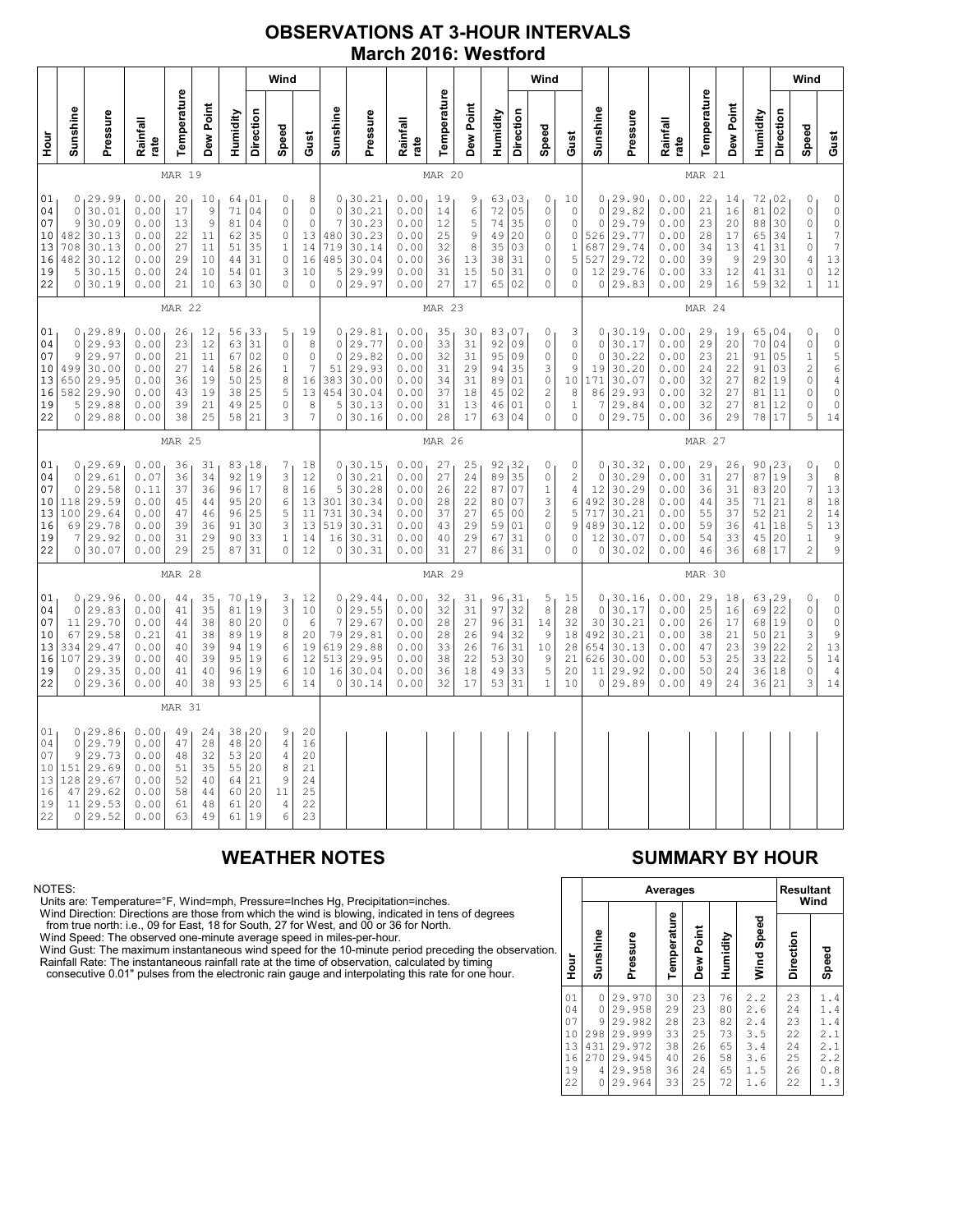## **OBSERVATIONS AT 3-HOUR INTERVALS March 2016: Westford**

NOTES:<br>Units are: Temperature=°F, Wind=mph, Pressure=Inches Hg, Precipitation=inches.<br>Units are: Temperature=°F, Wind=mph, Pressure=Inches Hg, Precipitation=inches.<br>from true north: i.e., 09 for East, 18 for South, 27 for

# **WEATHER NOTES SUMMARY BY HOUR**

|    |                                              |                                                   |                                                                              | Averages                                     |                                              |                                              |                                                      | <b>Resultant</b><br>Wind                     |                                                          |  |  |  |  |
|----|----------------------------------------------|---------------------------------------------------|------------------------------------------------------------------------------|----------------------------------------------|----------------------------------------------|----------------------------------------------|------------------------------------------------------|----------------------------------------------|----------------------------------------------------------|--|--|--|--|
| n. | Hour                                         | Sunshine                                          | Pressure                                                                     | Temperature                                  | Dew Point                                    | Humidity                                     | Wind Speed                                           | Direction                                    | Speed                                                    |  |  |  |  |
|    | 01<br>04<br>07<br>10<br>13<br>16<br>19<br>22 | 0<br>0<br>9<br>298<br>431<br>270<br>4<br>$\Omega$ | 29.970<br>29.958<br>29.982<br>29.999<br>29.972<br>29.945<br>29.958<br>29.964 | 30<br>29<br>28<br>33<br>38<br>40<br>36<br>33 | 23<br>23<br>23<br>25<br>26<br>26<br>24<br>25 | 76<br>80<br>82<br>73<br>65<br>58<br>65<br>72 | 2.2<br>2.6<br>2.4<br>3.5<br>3.4<br>3.6<br>1.5<br>1.6 | 23<br>24<br>23<br>22<br>24<br>25<br>26<br>22 | 1.4<br>1.4<br>1.4<br>2.1<br>2.1<br>2.2<br>.8<br>0<br>1.3 |  |  |  |  |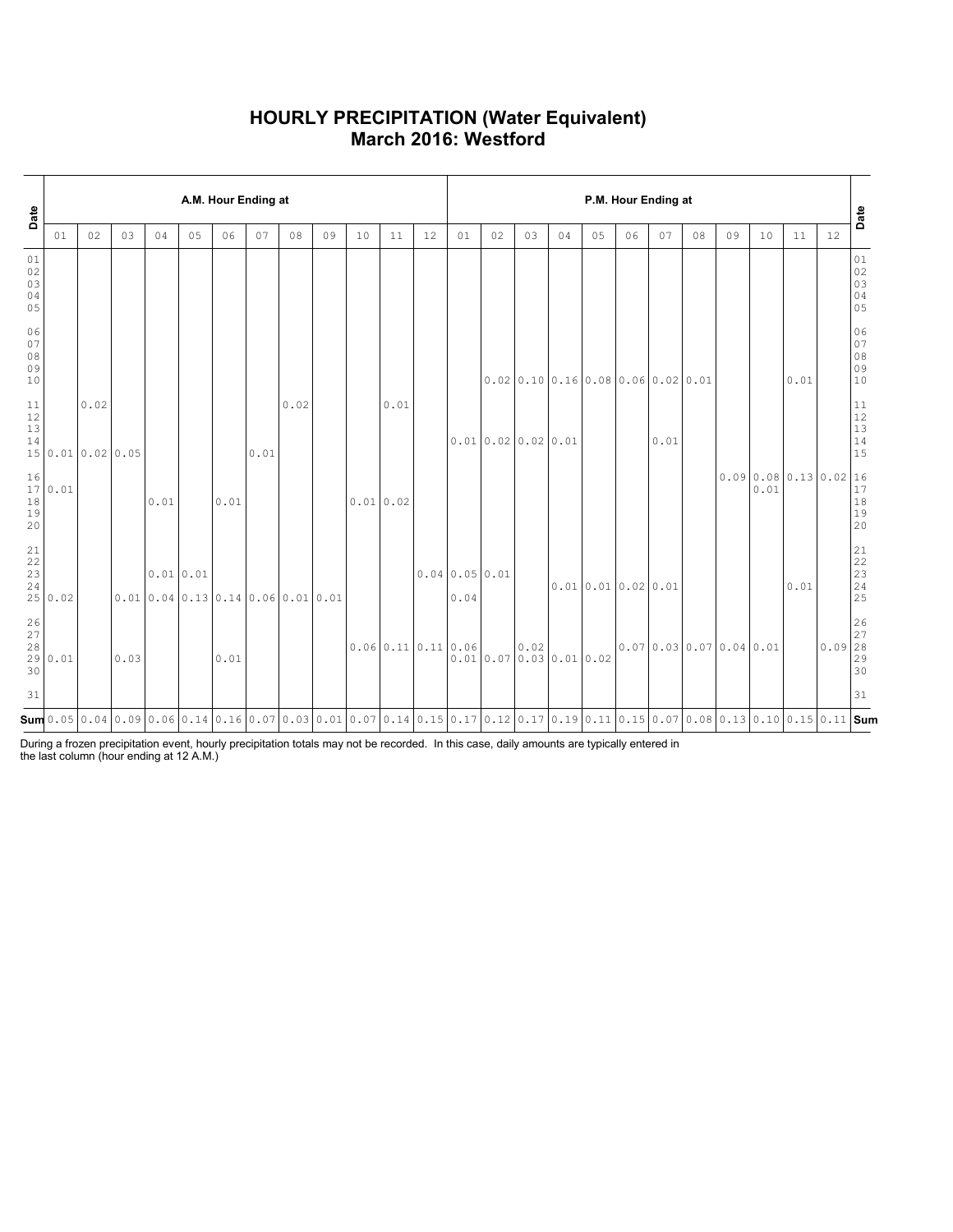### **HOURLY PRECIPITATION (Water Equivalent) March 2016: Westford**

| Date                                    |         | A.M. Hour Ending at       |      |      |             |                                                                                                                                                        |      |      |    |          |      |                  |                      |                                    | P.M. Hour Ending at |    |                                      |    |      |    |                      |                            |      |                                                              |                            |  |  |  |
|-----------------------------------------|---------|---------------------------|------|------|-------------|--------------------------------------------------------------------------------------------------------------------------------------------------------|------|------|----|----------|------|------------------|----------------------|------------------------------------|---------------------|----|--------------------------------------|----|------|----|----------------------|----------------------------|------|--------------------------------------------------------------|----------------------------|--|--|--|
|                                         | 01      | 02                        | 03   | 04   | 05          | 06                                                                                                                                                     | 07   | 08   | 09 | 10       | 11   | 12               | 01                   | 02                                 | 03                  | 04 | 05                                   | 06 | 07   | 08 | 09                   | 10                         | 11   | 12                                                           | Date                       |  |  |  |
| $01\,$<br>02<br>03<br>04<br>05          |         |                           |      |      |             |                                                                                                                                                        |      |      |    |          |      |                  |                      |                                    |                     |    |                                      |    |      |    |                      |                            |      |                                                              | 01<br>02<br>03<br>04<br>05 |  |  |  |
| 06<br>07<br>08<br>09<br>10              |         |                           |      |      |             |                                                                                                                                                        |      |      |    |          |      |                  |                      |                                    |                     |    | $0.02$ 0.10 0.16 0.08 0.06 0.02 0.01 |    |      |    |                      |                            | 0.01 |                                                              | 06<br>07<br>08<br>09<br>10 |  |  |  |
| $11\,$<br>12<br>13<br>14                |         | 0.02<br>15 0.01 0.02 0.05 |      |      |             |                                                                                                                                                        | 0.01 | 0.02 |    |          | 0.01 |                  |                      | $0.01$ 0.02 0.02 0.01              |                     |    |                                      |    | 0.01 |    |                      |                            |      |                                                              | 11<br>12<br>13<br>14<br>15 |  |  |  |
| 16<br>18<br>19<br>20                    | 17 0.01 |                           |      | 0.01 |             | 0.01                                                                                                                                                   |      |      |    | 0.010.02 |      |                  |                      |                                    |                     |    |                                      |    |      |    |                      | 0.090.080.130.0216<br>0.01 |      |                                                              | 17<br>18<br>19<br>20       |  |  |  |
| 21<br>22<br>23<br>24                    | 25 0.02 |                           |      |      | $0.01$ 0.01 | 0.010.040.130.140.060.010.01                                                                                                                           |      |      |    |          |      |                  | 0.040.050.01<br>0.04 |                                    |                     |    | $0.01$ 0.01 0.02 0.01                |    |      |    |                      |                            | 0.01 |                                                              | 21<br>22<br>23<br>24<br>25 |  |  |  |
| 26<br>$\overline{27}$<br>28<br>29<br>30 | 0.01    |                           | 0.03 |      |             | 0.01                                                                                                                                                   |      |      |    |          |      | 0.060.110.110.06 |                      | $0.01$ $0.07$ $0.03$ $0.01$ $0.02$ | 0.02                |    |                                      |    |      |    | 0.070.030.070.040.01 |                            |      | $\begin{array}{ c c }\n0.09 & 27 \\ \hline\n28\n\end{array}$ | 26<br>29<br>30             |  |  |  |
| 31                                      |         |                           |      |      |             |                                                                                                                                                        |      |      |    |          |      |                  |                      |                                    |                     |    |                                      |    |      |    |                      |                            |      |                                                              | 31                         |  |  |  |
|                                         |         |                           |      |      |             | $\mathsf{Sum}$ 0.05 0.04 0.09 0.06 0.14 0.16 0.07 0.03 0.01 0.07 0.14 0.15 0.17 0.12 0.17 0.19 0.11 0.15 0.07 0.08 0.13 0.10 0.15 0.11  $\mathsf{Sum}$ |      |      |    |          |      |                  |                      |                                    |                     |    |                                      |    |      |    |                      |                            |      |                                                              |                            |  |  |  |

During a frozen precipitation event, hourly precipitation totals may not be recorded. In this case, daily amounts are typically entered in the last column (hour ending at 12 A.M.)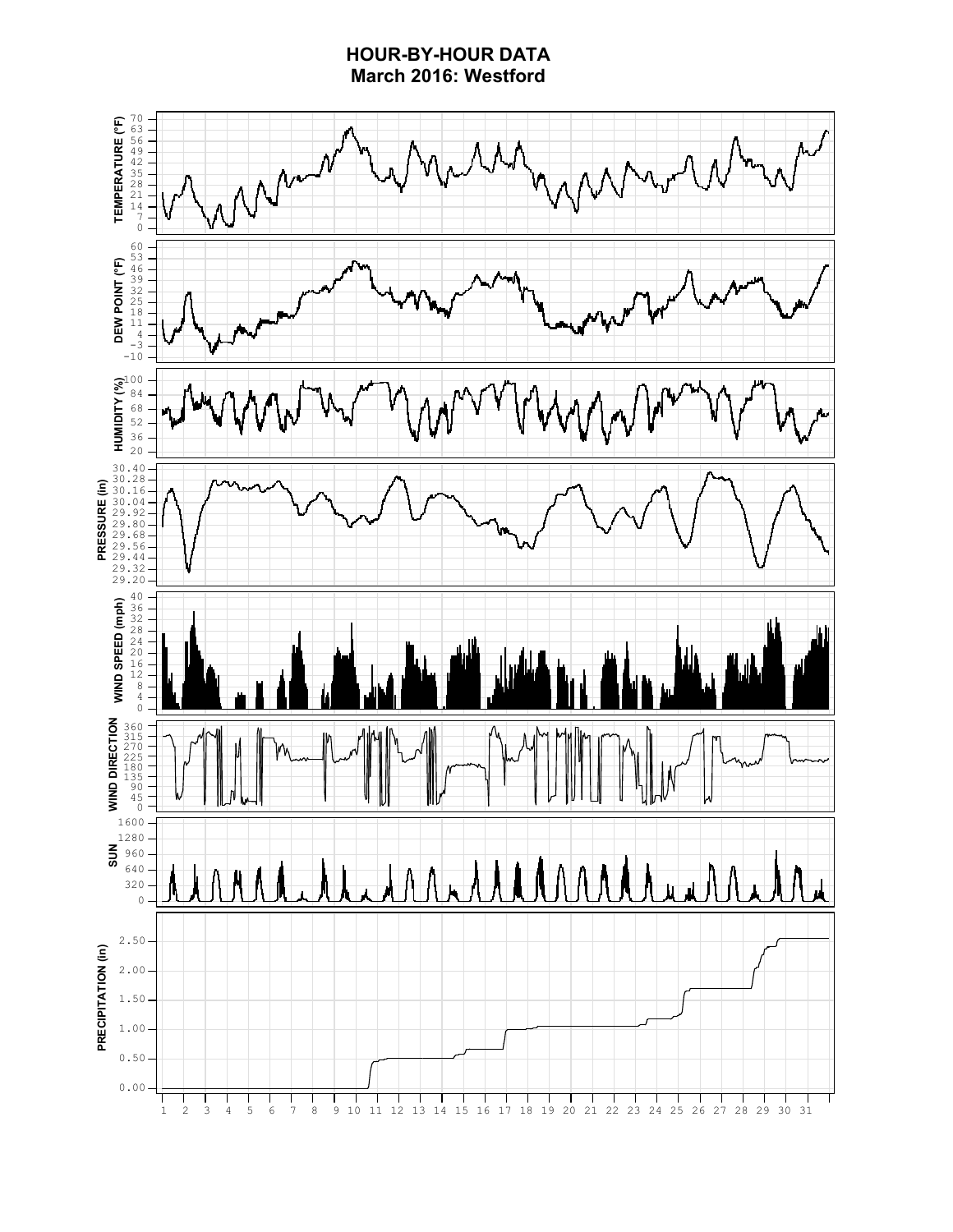### **HOUR-BY-HOUR DATA March 2016: Westford**